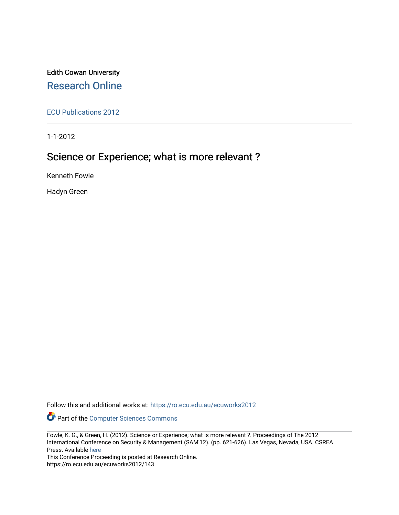## Edith Cowan University [Research Online](https://ro.ecu.edu.au/)

[ECU Publications 2012](https://ro.ecu.edu.au/ecuworks2012)

1-1-2012

# Science or Experience; what is more relevant ?

Kenneth Fowle

Hadyn Green

Follow this and additional works at: [https://ro.ecu.edu.au/ecuworks2012](https://ro.ecu.edu.au/ecuworks2012?utm_source=ro.ecu.edu.au%2Fecuworks2012%2F143&utm_medium=PDF&utm_campaign=PDFCoverPages) 

Part of the [Computer Sciences Commons](http://network.bepress.com/hgg/discipline/142?utm_source=ro.ecu.edu.au%2Fecuworks2012%2F143&utm_medium=PDF&utm_campaign=PDFCoverPages)

This Conference Proceeding is posted at Research Online. https://ro.ecu.edu.au/ecuworks2012/143

Fowle, K. G., & Green, H. (2012). Science or Experience; what is more relevant ?. Proceedings of The 2012 International Conference on Security & Management (SAM'12). (pp. 621-626). Las Vegas, Nevada, USA. CSREA Press. Available [here](http://worldcomp-proceedings.com/proc/proc2012/sam/contents.pdf)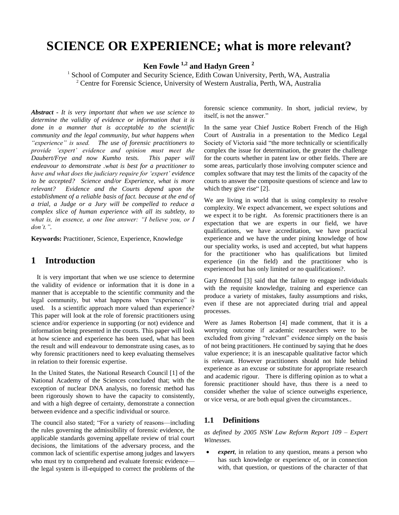# **SCIENCE OR EXPERIENCE; what is more relevant?**

**Ken Fowle 1,2 and Hadyn Green <sup>2</sup>**

<sup>1</sup> School of Computer and Security Science, Edith Cowan University, Perth, WA, Australia <sup>2</sup> Centre for Forensic Science, University of Western Australia, Perth, WA, Australia

*Abstract* **-** *It is very important that when we use science to determine the validity of evidence or information that it is done in a manner that is acceptable to the scientific community and the legal community, but what happens when "experience" is used. The use of forensic practitioners to provide "expert" evidence and opinion must meet the Daubert/Frye and now Kumho tests. This paper will endeavour to demonstrate .what is best for a practitioner to have and what does the judiciary require for "expert" evidence to be accepted? Science and/or Experience, what is more relevant? Evidence and the Courts depend upon the establishment of a reliable basis of fact. because at the end of a trial, a Judge or a Jury will be compelled to reduce a complex slice of human experience with all its subtlety, to what is, in essence, a one line answer: "I believe you, or I don"t.".*

**Keywords:** Practitioner, Science, Experience, Knowledge

### **1 Introduction**

It is very important that when we use science to determine the validity of evidence or information that it is done in a manner that is acceptable to the scientific community and the legal community, but what happens when "experience" is used. Is a scientific approach more valued than experience? This paper will look at the role of forensic practitioners using science and/or experience in supporting (or not) evidence and information being presented in the courts. This paper will look at how science and experience has been used, what has been the result and will endeavour to demonstrate using cases, as to why forensic practitioners need to keep evaluating themselves in relation to their forensic expertise.

In the United States, the National Research Council [1] of the National Academy of the Sciences concluded that; with the exception of nuclear DNA analysis, no forensic method has been rigorously shown to have the capacity to consistently, and with a high degree of certainty, demonstrate a connection between evidence and a specific individual or source.

The council also stated; "For a variety of reasons—including the rules governing the admissibility of forensic evidence, the applicable standards governing appellate review of trial court decisions, the limitations of the adversary process, and the common lack of scientific expertise among judges and lawyers who must try to comprehend and evaluate forensic evidence the legal system is ill-equipped to correct the problems of the forensic science community. In short, judicial review, by itself, is not the answer."

In the same year Chief Justice Robert French of the High Court of Australia in a presentation to the Medico Legal Society of Victoria said "the more technically or scientifically complex the issue for determination, the greater the challenge for the courts whether in patent law or other fields. There are some areas, particularly those involving computer science and complex software that may test the limits of the capacity of the courts to answer the composite questions of science and law to which they give rise" [2].

We are living in world that is using complexity to resolve complexity. We expect advancement, we expect solutions and we expect it to be right. As forensic practitioners there is an expectation that we are experts in our field, we have qualifications, we have accreditation, we have practical experience and we have the under pining knowledge of how our speciality works, is used and accepted, but what happens for the practitioner who has qualifications but limited experience (in the field) and the practitioner who is experienced but has only limited or no qualifications?.

Gary Edmond [3] said that the failure to engage individuals with the requisite knowledge, training and experience can produce a variety of mistakes, faulty assumptions and risks, even if these are not appreciated during trial and appeal processes.

Were as James Robertson [4] made comment, that it is a worrying outcome if academic researchers were to be excluded from giving "relevant" evidence simply on the basis of not being practitioners. He continued by saying that he does value experience; it is an inescapable qualitative factor which is relevant. However practitioners should not hide behind experience as an excuse or substitute for appropriate research and academic rigour. There is differing opinion as to what a forensic practitioner should have, thus there is a need to consider whether the value of science outweighs experience, or vice versa, or are both equal given the circumstances..

#### **1.1 Definitions**

*as defined by 2005 NSW Law Reform Report 109 – Expert Witnesses.*

 *expert*, in relation to any question, means a person who has such knowledge or experience of, or in connection with, that question, or questions of the character of that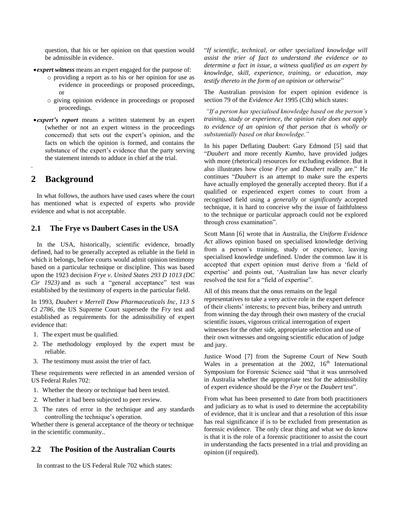question, that his or her opinion on that question would be admissible in evidence.

- *expert witness* means an expert engaged for the purpose of:
	- o providing a report as to his or her opinion for use as evidence in proceedings or proposed proceedings, or
	- o giving opinion evidence in proceedings or proposed proceedings.
- *expert's report* means a written statement by an expert (whether or not an expert witness in the proceedings concerned) that sets out the expert's opinion, and the facts on which the opinion is formed, and contains the substance of the expert's evidence that the party serving the statement intends to adduce in chief at the trial.

#### **2 Background**

*.*

.

In what follows, the authors have used cases where the court has mentioned what is expected of experts who provide evidence and what is not acceptable.

#### **2.1 The Frye vs Daubert Cases in the USA**

In the USA, historically, scientific evidence, broadly defined, had to be generally accepted as reliable in the field in which it belongs, before courts would admit opinion testimony based on a particular technique or discipline. This was based upon the 1923 decision *Frye v. United States 293 D 1013 (DC Cir 1923)* and as such a "general acceptance" test was established by the testimony of experts in the particular field.

In 1993, *Daubert v Merrell Dow Pharmaceuticals Inc, 113 S Ct 2786,* the US Supreme Court supersede the *Fry* test and established as requirements for the admissibility of expert evidence that:

- 1. The expert must be qualified.
- 2. The methodology employed by the expert must be reliable.
- 3. The testimony must assist the trier of fact.

These requirements were reflected in an amended version of US Federal Rules 702:

- 1. Whether the theory or technique had been tested.
- 2. Whether it had been subjected to peer review.
- 3. The rates of error in the technique and any standards controlling the technique's operation.

Whether there is general acceptance of the theory or technique in the scientific community..

#### **2.2 The Position of the Australian Courts**

In contrast to the US Federal Rule 702 which states:

"*If scientific, technical, or other specialized knowledge will assist the trier of fact to understand the evidence or to determine a fact in issue, a witness qualified as an expert by knowledge, skill, experience, training, or education, may testify thereto in the form of an opinion or otherwise*"

The Australian provision for expert opinion evidence is section 79 of the *Evidence Act* 1995 (Cth) which states:

*"If a person has specialised knowledge based on the person"s training, study or experience, the opinion rule does not apply to evidence of an opinion of that person that is wholly or substantially based on that knowledge."*

In his paper Deflating Daubert: Gary Edmond [5] said that "*Daubert* and more recently *Kumho*, have provided judges with more (rhetorical) resources for excluding evidence. But it also illustrates how close *Frye* and *Daubert* really are." He continues "*Daubert* is an attempt to make sure the experts have actually employed the generally accepted theory. But if a qualified or experienced expert comes to court from a recognised field using a *generally* or *significantly* accepted technique, it is hard to conceive why the issue of faithfulness to the technique or particular approach could not be explored through cross examination".

Scott Mann [6] wrote that in Australia, the *Uniform Evidence Act* allows opinion based on specialised knowledge deriving from a person"s training, study or experience, leaving specialised knowledge undefined. Under the common law it is accepted that expert opinion must derive from a "field of expertise" and points out, "Australian law has never clearly resolved the test for a "field of expertise".

All of this means that the onus remains on the legal representatives to take a very active role in the expert defence of their clients" interests; to prevent bias, bribery and untruth from winning the day through their own mastery of the crucial scientific issues, vigorous critical interrogation of expert witnesses for the other side, appropriate selection and use of their own witnesses and ongoing scientific education of judge and jury.

Justice Wood [7] from the Supreme Court of New South Wales in a presentation at the 2002,  $16<sup>th</sup>$  International Symposium for Forensic Science said "that it was unresolved in Australia whether the appropriate test for the admissibility of expert evidence should be the *Frye* or the *Daubert* test".

From what has been presented to date from both practitioners and judiciary as to what is used to determine the acceptability of evidence, that it is unclear and that a resolution of this issue has real significance if is to be excluded from presentation as forensic evidence. The only clear thing and what we do know is that it is the role of a forensic practitioner to assist the court in understanding the facts presented in a trial and providing an opinion (if required).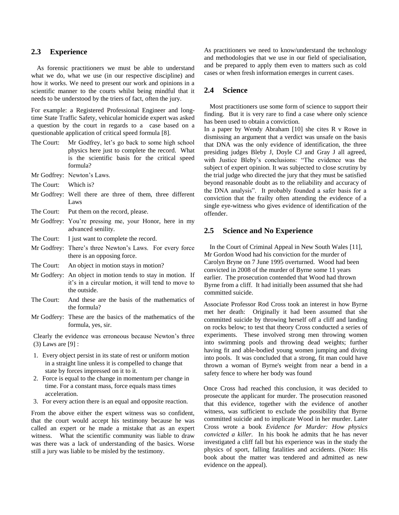#### **2.3 Experience**

As forensic practitioners we must be able to understand what we do, what we use (in our respective discipline) and how it works. We need to present our work and opinions in a scientific manner to the courts whilst being mindful that it needs to be understood by the triers of fact, often the jury.

For example: a Registered Professional Engineer and longtime State Traffic Safety, vehicular homicide expert was asked a question by the court in regards to a case based on a questionable application of critical speed formula [8].

- The Court: Mr Godfrey, let's go back to some high school physics here just to complete the record. What is the scientific basis for the critical speed formula?
- Mr Godfrey: Newton"s Laws.
- The Court: Which is?
- Mr Godfrey: Well there are three of them, three different Laws
- The Court: Put them on the record, please.
- Mr Godfrey: You"re pressing me, your Honor, here in my advanced senility.
- The Court: I just want to complete the record.
- Mr Godfrey: There"s three Newton"s Laws. For every force there is an opposing force.

The Court: An object in motion stays in motion?

- Mr Godfery: An object in motion tends to stay in motion. If it's in a circular motion, it will tend to move to the outside.
- The Court: And these are the basis of the mathematics of the formula?
- Mr Godfery: These are the basics of the mathematics of the formula, yes, sir.

Clearly the evidence was erroneous because Newton"s three (3) Laws are [9] :

- 1. Every object persist in its state of rest or uniform motion in a straight line unless it is compelled to change that state by forces impressed on it to it.
- 2. Force is equal to the change in momentum per change in time. For a constant mass, force equals mass times acceleration.
- 3. For every action there is an equal and opposite reaction.

From the above either the expert witness was so confident, that the court would accept his testimony because he was called an expert or he made a mistake that as an expert witness. What the scientific community was liable to draw was there was a lack of understanding of the basics. Worse still a jury was liable to be misled by the testimony.

As practitioners we need to know/understand the technology and methodologies that we use in our field of specialisation, and be prepared to apply them even to matters such as cold cases or when fresh information emerges in current cases.

#### **2.4 Science**

Most practitioners use some form of science to support their finding. But it is very rare to find a case where only science has been used to obtain a conviction.

In a paper by Wendy Abraham [10] she cites R v Rowe in dismissing an argument that a verdict was unsafe on the basis that DNA was the only evidence of identification, the three presiding judges Bleby J, Doyle CJ and Gray J all agreed, with Justice Bleby"s conclusions: "The evidence was the subject of expert opinion. It was subjected to close scrutiny by the trial judge who directed the jury that they must be satisfied beyond reasonable doubt as to the reliability and accuracy of the DNA analysis". It probably founded a safer basis for a conviction that the frailty often attending the evidence of a single eye-witness who gives evidence of identification of the offender.

#### **2.5 Science and No Experience**

In the Court of Criminal Appeal in New South Wales [11], Mr Gordon Wood had his conviction for the murder of Carolyn Bryne on 7 June 1995 overturned. Wood had been convicted in 2008 of the murder of Byrne some 11 years earlier. The prosecution contended that Wood had thrown Byrne from a cliff. It had initially been assumed that she had committed suicide.

Associate Professor Rod Cross took an interest in how Byrne met her death: Originally it had been assumed that she committed suicide by throwing herself off a cliff and landing on rocks below; to test that theory Cross conducted a series of experiments. These involved strong men throwing women into swimming pools and throwing dead weights; further having fit and able-bodied young women jumping and diving into pools. It was concluded that a strong, fit man could have thrown a woman of Byrne's weight from near a bend in a safety fence to where her body was found

Once Cross had reached this conclusion, it was decided to prosecute the applicant for murder. The prosecution reasoned that this evidence, together with the evidence of another witness, was sufficient to exclude the possibility that Byrne committed suicide and to implicate Wood in her murder. Later Cross wrote a book *Evidence for Murder: How physics convicted a killer.* In his book he admits that he has never investigated a cliff fall but his experience was in the study the physics of sport, falling fatalities and accidents. (Note: His book about the matter was tendered and admitted as new evidence on the appeal).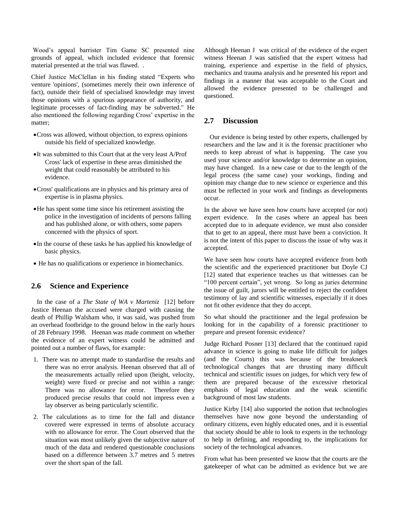Wood"s appeal barrister Tim Game SC presented nine grounds of appeal, which included evidence that forensic material presented at the trial was flawed. .

Chief Justice McClellan in his finding stated "Experts who venture 'opinions', (sometimes merely their own inference of fact), outside their field of specialised knowledge may invest those opinions with a spurious appearance of authority, and legitimate processes of fact-finding may be subverted." He also mentioned the following regarding Cross" expertise in the matter;

- Cross was allowed, without objection, to express opinions outside his field of specialized knowledge.
- It was submitted to this Court that at the very least A/Prof Cross' lack of expertise in these areas diminished the weight that could reasonably be attributed to his evidence.
- Cross' qualifications are in physics and his primary area of expertise is in plasma physics.
- He has spent some time since his retirement assisting the police in the investigation of incidents of persons falling and has published alone, or with others, some papers concerned with the physics of sport.
- In the course of these tasks he has applied his knowledge of basic physics.
- He has no qualifications or experience in biomechanics.

#### **2.6 Science and Experience**

In the case of a *The State of WA v Marteniz* [12] before Justice Heenan the accused were charged with causing the death of Phillip Walsham who, it was said, was pushed from an overhead footbridge to the ground below in the early hours of 28 February 1998. Heenan was made comment on whether the evidence of an expert witness could be admitted and pointed out a number of flaws, for example:

- 1. There was no attempt made to standardise the results and there was no error analysis. Heenan observed that all of the measurements actually relied upon (height, velocity, weight) were fixed or precise and not within a range: There was no allowance for error. Therefore they produced precise results that could not impress even a lay observer as being particularly scientific.
- 2. The calculations as to time for the fall and distance covered were expressed in terms of absolute accuracy with no allowance for error. The Court observed that the situation was most unlikely given the subjective nature of much of the data and rendered questionable conclusions based on a difference between 3.7 metres and 5 metres over the short span of the fall.

Although Heenan J was critical of the evidence of the expert witness Heenan J was satisfied that the expert witness had training, experience and expertise in the field of physics, mechanics and trauma analysis and he presented his report and findings in a manner that was acceptable to the Court and allowed the evidence presented to be challenged and questioned.

#### **2.7 Discussion**

Our evidence is being tested by other experts, challenged by researchers and the law and it is the forensic practitioner who needs to keep abreast of what is happening. The case you used your science and/or knowledge to determine an opinion, may have changed. In a new case or due to the length of the legal process (the same case) your workings, finding and opinion may change due to new science or experience and this must be reflected in your work and findings as developments occur.

In the above we have seen how courts have accepted (or not) expert evidence. In the cases where an appeal has been accepted due to in adequate evidence, we must also consider that to get to an appeal, there must have been a conviction. It is not the intent of this paper to discuss the issue of why was it accepted.

We have seen how courts have accepted evidence from both the scientific and the experienced practitioner but Doyle CJ [12] stated that experience teaches us that witnesses can be "100 percent certain", yet wrong. So long as juries determine the issue of guilt, jurors will be entitled to reject the confident testimony of lay and scientific witnesses, especially if it does not fit other evidence that they do accept.

So what should the practitioner and the legal profession be looking for in the capability of a forensic practitioner to prepare and present forensic evidence?

Judge Richard Posner [13] declared that the continued rapid advance in science is going to make life difficult for judges (and the Courts) this was because of the breakneck technological changes that are thrusting many difficult technical and scientific issues on judges, for which very few of them are prepared because of the excessive rhetorical emphasis of legal education and the weak scientific background of most law students.

Justice Kirby [14] also supported the notion that technologies themselves have now gone beyond the understanding of ordinary citizens, even highly educated ones, and it is essential that society should be able to look to experts in the technology to help in defining, and responding to, the implications for society of the technological advances.

From what has been presented we know that the courts are the gatekeeper of what can be admitted as evidence but we are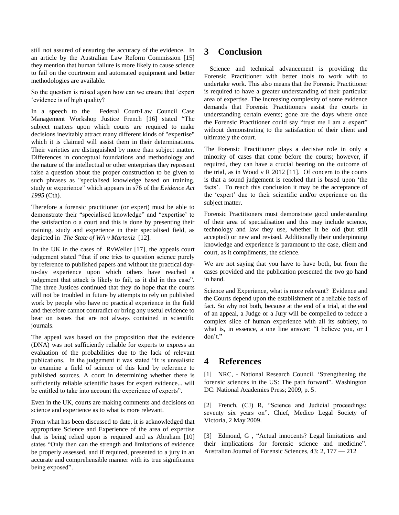still not assured of ensuring the accuracy of the evidence. In an article by the Australian Law Reform Commission [15] they mention that human failure is more likely to cause science to fail on the courtroom and automated equipment and better methodologies are available.

So the question is raised again how can we ensure that "expert "evidence is of high quality?

In a speech to the Federal Court/Law Council Case Management Workshop Justice French [16] stated "The subject matters upon which courts are required to make decisions inevitably attract many different kinds of "expertise" which it is claimed will assist them in their determinations. Their varieties are distinguished by more than subject matter. Differences in conceptual foundations and methodology and the nature of the intellectual or other enterprises they represent raise a question about the proper construction to be given to such phrases as "specialised knowledge based on training, study or experience" which appears in s76 of the *Evidence Act 1995* (Cth).

Therefore a forensic practitioner (or expert) must be able to demonstrate their "specialised knowledge" and "expertise" to the satisfaction o a court and this is done by presenting their training, study and experience in their specialised field, as depicted in *The State of WA v Marteniz* [12].

In the UK in the cases of RvWeller [17], the appeals court judgement stated "that if one tries to question science purely by reference to published papers and without the practical dayto-day experience upon which others have reached a judgement that attack is likely to fail, as it did in this case". The three Justices continued that they do hope that the courts will not be troubled in future by attempts to rely on published work by people who have no practical experience in the field and therefore cannot contradict or bring any useful evidence to bear on issues that are not always contained in scientific journals.

The appeal was based on the proposition that the evidence (DNA) was not sufficiently reliable for experts to express an evaluation of the probabilities due to the lack of relevant publications. In the judgement it was stated "It is unrealistic to examine a field of science of this kind by reference to published sources. A court in determining whether there is sufficiently reliable scientific bases for expert evidence... will be entitled to take into account the experience of experts".

Even in the UK, courts are making comments and decisions on science and experience as to what is more relevant.

From what has been discussed to date, it is acknowledged that appropriate Science and Experience of the area of expertise that is being relied upon is required and as Abraham [10] states "Only then can the strength and limitations of evidence be properly assessed, and if required, presented to a jury in an accurate and comprehensible manner with its true significance being exposed".

## **3 Conclusion**

Science and technical advancement is providing the Forensic Practitioner with better tools to work with to undertake work. This also means that the Forensic Practitioner is required to have a greater understanding of their particular area of expertise. The increasing complexity of some evidence demands that Forensic Practitioners assist the courts in understanding certain events; gone are the days where once the Forensic Practitioner could say "trust me I am a expert" without demonstrating to the satisfaction of their client and ultimately the court.

The Forensic Practitioner plays a decisive role in only a minority of cases that come before the courts; however, if required, they can have a crucial bearing on the outcome of the trial, as in Wood v R 2012 [11]. Of concern to the courts is that a sound judgement is reached that is based upon "the facts'. To reach this conclusion it may be the acceptance of the "expert" due to their scientific and/or experience on the subject matter.

Forensic Practitioners must demonstrate good understanding of their area of specialisation and this may include science, technology and law they use, whether it be old (but still accepted) or new and revised. Additionally their underpinning knowledge and experience is paramount to the case, client and court, as it compliments, the science.

We are not saying that you have to have both, but from the cases provided and the publication presented the two go hand in hand.

Science and Experience, what is more relevant? Evidence and the Courts depend upon the establishment of a reliable basis of fact. So why not both, because at the end of a trial, at the end of an appeal, a Judge or a Jury will be compelled to reduce a complex slice of human experience with all its subtlety, to what is, in essence, a one line answer: "I believe you, or I don"t."

## **4 References**

[1] NRC, - National Research Council. "Strengthening the forensic sciences in the US: The path forward". Washington DC: National Academies Press; 2009, p. 5.

[2] French, (CJ) R, "Science and Judicial proceedings: seventy six years on". Chief, Medico Legal Society of Victoria, 2 May 2009.

[3] Edmond, G , "Actual innocents? Legal limitations and their implications for forensic science and medicine". Australian Journal of Forensic Sciences, 43: 2, 177 — 212